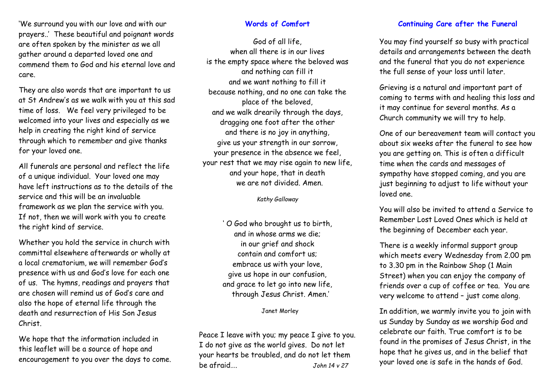'We surround you with our love and with our prayers..' These beautiful and poignant words are often spoken by the minister as we all gather around a departed loved one and commend them to God and his eternal love and care.

They are also words that are important to us at St Andrew's as we walk with you at this sad time of loss. We feel very privileged to be welcomed into your lives and especially as we help in creating the right kind of service through which to remember and give thanks for your loved one.

All funerals are personal and reflect the life of a unique individual. Your loved one may have left instructions as to the details of the service and this will be an invaluable framework as we plan the service with you. If not, then we will work with you to create the right kind of service.

Whether you hold the service in church with committal elsewhere afterwards or wholly at a local crematorium, we will remember God's presence with us and God's love for each one of us. The hymns, readings and prayers that are chosen will remind us of God's care and also the hope of eternal life through the death and resurrection of His Son Jesus Christ.

We hope that the information included in this leaflet will be a source of hope and encouragement to you over the days to come.

#### **Words of Comfort**

God of all life, when all there is in our lives is the empty space where the beloved was and nothing can fill it and we want nothing to fill it because nothing, and no one can take the place of the beloved, and we walk drearily through the days, dragging one foot after the other and there is no joy in anything, give us your strength in our sorrow, your presence in the absence we feel, your rest that we may rise again to new life, and your hope, that in death we are not divided. Amen.

*Kathy Galloway*

' O God who brought us to birth, and in whose arms we die; in our grief and shock contain and comfort us; embrace us with your love, give us hope in our confusion, and grace to let go into new life, through Jesus Christ. Amen.'

#### Janet Morley

Peace I leave with you; my peace I give to you. I do not give as the world gives. Do not let your hearts be troubled, and do not let them be afraid…. *John 14 v 27* 

### **Continuing Care after the Funeral**

You may find yourself so busy with practical details and arrangements between the death and the funeral that you do not experience the full sense of your loss until later.

Grieving is a natural and important part of coming to terms with and healing this loss and it may continue for several months. As a Church community we will try to help.

One of our bereavement team will contact you about six weeks after the funeral to see how you are getting on. This is often a difficult time when the cards and messages of sympathy have stopped coming, and you are just beginning to adjust to life without your loved one.

You will also be invited to attend a Service to Remember Lost Loved Ones which is held at the beginning of December each year.

There is a weekly informal support group which meets every Wednesday from 2.00 pm to 3.30 pm in the Rainbow Shop (1 Main Street) when you can enjoy the company of friends over a cup of coffee or tea. You are very welcome to attend – just come along.

In addition, we warmly invite you to join with us Sunday by Sunday as we worship God and celebrate our faith. True comfort is to be found in the promises of Jesus Christ, in the hope that he gives us, and in the belief that your loved one is safe in the hands of God.